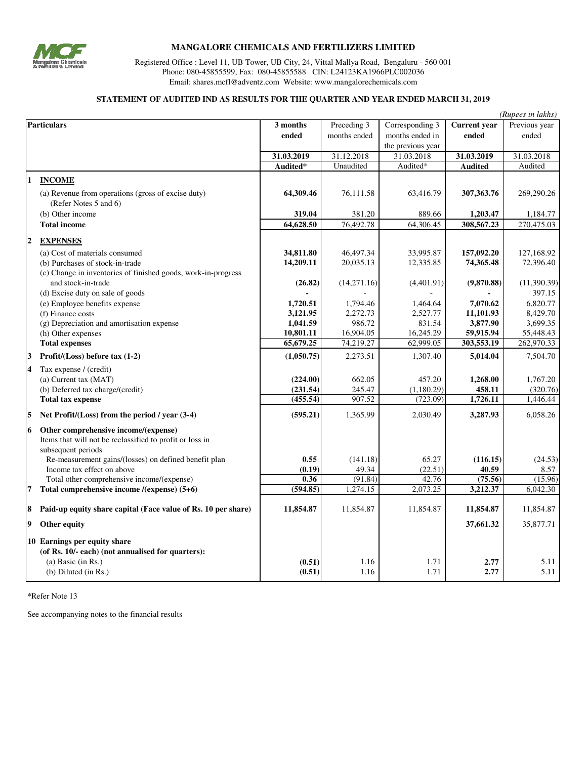

# **MANGALORE CHEMICALS AND FERTILIZERS LIMITED**

Registered Office : Level 11, UB Tower, UB City, 24, Vittal Mallya Road, Bengaluru - 560 001 Phone: 080-45855599, Fax: 080-45855588 CIN: L24123KA1966PLC002036 Email: shares.mcfl@adventz.com Website: www.mangalorechemicals.com

#### **STATEMENT OF AUDITED IND AS RESULTS FOR THE QUARTER AND YEAR ENDED MARCH 31, 2019**

|                    |                                                               |                  |              |                   |                     | (Rupees in lakhs) |
|--------------------|---------------------------------------------------------------|------------------|--------------|-------------------|---------------------|-------------------|
| <b>Particulars</b> |                                                               | 3 months         | Preceding 3  | Corresponding 3   | <b>Current</b> year | Previous year     |
|                    |                                                               | ended            | months ended | months ended in   | ended               | ended             |
|                    |                                                               |                  |              | the previous year |                     |                   |
|                    |                                                               | 31.03.2019       | 31.12.2018   | 31.03.2018        | 31.03.2019          | 31.03.2018        |
|                    |                                                               | Audited*         | Unaudited    | Audited*          | <b>Audited</b>      | Audited           |
| 11                 | <b>INCOME</b>                                                 |                  |              |                   |                     |                   |
|                    | (a) Revenue from operations (gross of excise duty)            | 64,309.46        | 76,111.58    | 63,416.79         | 307,363.76          | 269,290.26        |
|                    | (Refer Notes 5 and 6)                                         |                  |              |                   |                     |                   |
|                    | (b) Other income                                              | 319.04           | 381.20       | 889.66            | 1,203.47            | 1,184.77          |
|                    | <b>Total income</b>                                           | 64,628.50        | 76,492.78    | 64,306.45         | 308,567.23          | 270,475.03        |
| 2                  | <b>EXPENSES</b>                                               |                  |              |                   |                     |                   |
|                    | (a) Cost of materials consumed                                | 34,811.80        | 46,497.34    | 33,995.87         | 157,092.20          | 127,168.92        |
|                    | (b) Purchases of stock-in-trade                               | 14,209.11        | 20,035.13    | 12,335.85         | 74,365.48           | 72,396.40         |
|                    | (c) Change in inventories of finished goods, work-in-progress |                  |              |                   |                     |                   |
|                    | and stock-in-trade                                            | (26.82)          | (14,271.16)  | (4,401.91)        | (9,870.88)          | (11,390.39)       |
|                    | (d) Excise duty on sale of goods                              |                  |              |                   |                     | 397.15            |
|                    | (e) Employee benefits expense                                 | 1,720.51         | 1,794.46     | 1,464.64          | 7,070.62            | 6,820.77          |
|                    | (f) Finance costs                                             | 3,121.95         | 2,272.73     | 2,527.77          | 11,101.93           | 8,429.70          |
|                    | (g) Depreciation and amortisation expense                     | 1,041.59         | 986.72       | 831.54            | 3,877.90            | 3,699.35          |
|                    | (h) Other expenses                                            | 10,801.11        | 16,904.05    | 16,245.29         | 59,915.94           | 55,448.43         |
|                    | <b>Total expenses</b>                                         | 65,679.25        | 74,219.27    | 62,999.05         | 303,553.19          | 262,970.33        |
| 3                  | Profit/(Loss) before tax (1-2)                                | (1,050.75)       | 2,273.51     | 1,307.40          | 5,014.04            | 7,504.70          |
| $\overline{4}$     | Tax expense / (credit)                                        |                  |              |                   |                     |                   |
|                    | (a) Current tax (MAT)                                         | (224.00)         | 662.05       | 457.20            | 1,268.00            | 1,767.20          |
|                    | (b) Deferred tax charge/(credit)                              | (231.54)         | 245.47       | (1,180.29)        | 458.11              | (320.76)          |
|                    | <b>Total tax expense</b>                                      | (455.54)         | 907.52       | (723.09)          | 1,726.11            | 1,446.44          |
| 15                 | Net Profit/(Loss) from the period / year (3-4)                | (595.21)         | 1,365.99     | 2,030.49          | 3,287.93            | 6,058.26          |
| 16                 | Other comprehensive income/(expense)                          |                  |              |                   |                     |                   |
|                    | Items that will not be reclassified to profit or loss in      |                  |              |                   |                     |                   |
|                    | subsequent periods                                            |                  |              |                   |                     |                   |
|                    | Re-measurement gains/(losses) on defined benefit plan         | 0.55             | (141.18)     | 65.27             | (116.15)            | (24.53)           |
|                    | Income tax effect on above                                    | (0.19)           | 49.34        | (22.51)           | 40.59               | 8.57              |
|                    | Total other comprehensive income/(expense)                    | 0.36             | (91.84)      | 42.76             | (75.56)             | (15.96)           |
| 7                  | Total comprehensive income /(expense) (5+6)                   | (594.85)         | 1,274.15     | 2,073.25          | 3,212.37            | 6,042.30          |
| 8                  | Paid-up equity share capital (Face value of Rs. 10 per share) | 11,854.87        | 11,854.87    | 11,854.87         | 11,854.87           | 11,854.87         |
| 19                 | Other equity                                                  |                  |              |                   | 37,661.32           | 35,877.71         |
|                    |                                                               |                  |              |                   |                     |                   |
|                    | 10 Earnings per equity share                                  |                  |              |                   |                     |                   |
|                    | (of Rs. 10/- each) (not annualised for quarters):             |                  |              |                   |                     |                   |
|                    | $(a)$ Basic (in Rs.)<br>$(b)$ Diluted $(in Rs.)$              | (0.51)<br>(0.51) | 1.16<br>1.16 | 1.71<br>1.71      | 2.77<br>2.77        | 5.11<br>5.11      |
|                    |                                                               |                  |              |                   |                     |                   |

\*Refer Note 13

See accompanying notes to the financial results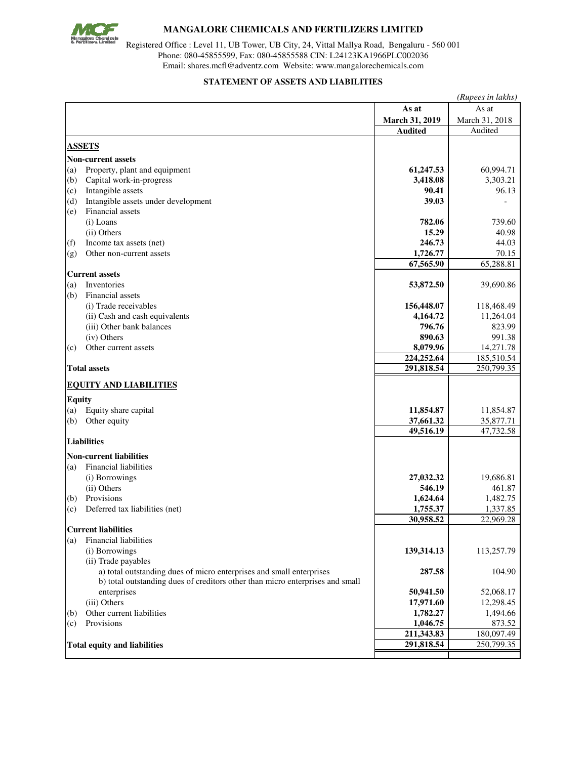

# **MANGALORE CHEMICALS AND FERTILIZERS LIMITED**

Registered Office : Level 11, UB Tower, UB City, 24, Vittal Mallya Road, Bengaluru - 560 001 Phone: 080-45855599, Fax: 080-45855588 CIN: L24123KA1966PLC002036 Email: shares.mcfl@adventz.com Website: www.mangalorechemicals.com

#### **STATEMENT OF ASSETS AND LIABILITIES**

|               |                                                                               | (Rupees in lakhs)      |                        |  |  |
|---------------|-------------------------------------------------------------------------------|------------------------|------------------------|--|--|
|               |                                                                               | As at                  | As at                  |  |  |
|               |                                                                               | March 31, 2019         | March 31, 2018         |  |  |
|               |                                                                               | <b>Audited</b>         | Audited                |  |  |
|               | <b>ASSETS</b>                                                                 |                        |                        |  |  |
|               |                                                                               |                        |                        |  |  |
|               | <b>Non-current assets</b>                                                     |                        |                        |  |  |
| (a)           | Property, plant and equipment                                                 | 61,247.53<br>3,418.08  | 60,994.71              |  |  |
| (b)<br>(c)    | Capital work-in-progress<br>Intangible assets                                 | 90.41                  | 3,303.21<br>96.13      |  |  |
| (d)           | Intangible assets under development                                           | 39.03                  |                        |  |  |
| (e)           | Financial assets                                                              |                        |                        |  |  |
|               | (i) Loans                                                                     | 782.06                 | 739.60                 |  |  |
|               | (ii) Others                                                                   | 15.29                  | 40.98                  |  |  |
| (f)           | Income tax assets (net)                                                       | 246.73                 | 44.03                  |  |  |
| (g)           | Other non-current assets                                                      | 1,726.77               | 70.15                  |  |  |
|               |                                                                               | 67,565.90              | 65,288.81              |  |  |
|               | <b>Current assets</b>                                                         |                        |                        |  |  |
| (a)           | Inventories                                                                   | 53,872.50              | 39,690.86              |  |  |
| (b)           | Financial assets                                                              |                        |                        |  |  |
|               | (i) Trade receivables                                                         | 156,448.07             | 118,468.49             |  |  |
|               | (ii) Cash and cash equivalents                                                | 4,164.72               | 11,264.04              |  |  |
|               | (iii) Other bank balances                                                     | 796.76                 | 823.99                 |  |  |
|               | (iv) Others                                                                   | 890.63                 | 991.38                 |  |  |
| (c)           | Other current assets                                                          | 8,079.96               | 14,271.78              |  |  |
|               |                                                                               | 224,252.64             | 185,510.54             |  |  |
|               | <b>Total assets</b>                                                           | 291,818.54             | 250,799.35             |  |  |
|               | <b>EQUITY AND LIABILITIES</b>                                                 |                        |                        |  |  |
|               |                                                                               |                        |                        |  |  |
| <b>Equity</b> |                                                                               |                        |                        |  |  |
| (a)           | Equity share capital                                                          | 11,854.87<br>37,661.32 | 11,854.87<br>35,877.71 |  |  |
| (b)           | Other equity                                                                  | 49,516.19              | 47,732.58              |  |  |
|               | <b>Liabilities</b>                                                            |                        |                        |  |  |
|               |                                                                               |                        |                        |  |  |
|               | <b>Non-current liabilities</b>                                                |                        |                        |  |  |
| (a)           | Financial liabilities                                                         |                        |                        |  |  |
|               | (i) Borrowings                                                                | 27,032.32              | 19,686.81              |  |  |
|               | (ii) Others<br>Provisions                                                     | 546.19<br>1,624.64     | 461.87<br>1,482.75     |  |  |
| (b)<br>(c)    | Deferred tax liabilities (net)                                                | 1,755.37               | 1,337.85               |  |  |
|               |                                                                               | 30,958.52              | 22,969.28              |  |  |
|               | <b>Current liabilities</b>                                                    |                        |                        |  |  |
| (a)           | Financial liabilities                                                         |                        |                        |  |  |
|               | (i) Borrowings                                                                | 139,314.13             | 113,257.79             |  |  |
|               | (ii) Trade payables                                                           |                        |                        |  |  |
|               | a) total outstanding dues of micro enterprises and small enterprises          | 287.58                 | 104.90                 |  |  |
|               | b) total outstanding dues of creditors other than micro enterprises and small |                        |                        |  |  |
|               | enterprises                                                                   | 50,941.50              | 52,068.17              |  |  |
|               | (iii) Others                                                                  | 17,971.60              | 12,298.45              |  |  |
| (b)           | Other current liabilities                                                     | 1,782.27               | 1,494.66               |  |  |
| (c)           | Provisions                                                                    | 1,046.75               | 873.52                 |  |  |
|               |                                                                               | 211,343.83             | 180,097.49             |  |  |
|               | <b>Total equity and liabilities</b>                                           | 291,818.54             | 250,799.35             |  |  |
|               |                                                                               |                        |                        |  |  |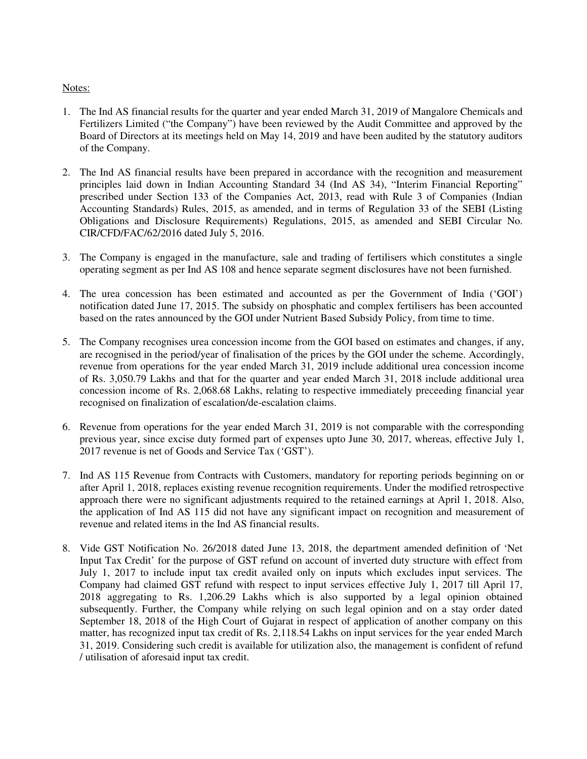## Notes:

- 1. The Ind AS financial results for the quarter and year ended March 31, 2019 of Mangalore Chemicals and Fertilizers Limited ("the Company") have been reviewed by the Audit Committee and approved by the Board of Directors at its meetings held on May 14, 2019 and have been audited by the statutory auditors of the Company.
- 2. The Ind AS financial results have been prepared in accordance with the recognition and measurement principles laid down in Indian Accounting Standard 34 (Ind AS 34), "Interim Financial Reporting" prescribed under Section 133 of the Companies Act, 2013, read with Rule 3 of Companies (Indian Accounting Standards) Rules, 2015, as amended, and in terms of Regulation 33 of the SEBI (Listing Obligations and Disclosure Requirements) Regulations, 2015, as amended and SEBI Circular No. CIR/CFD/FAC/62/2016 dated July 5, 2016.
- 3. The Company is engaged in the manufacture, sale and trading of fertilisers which constitutes a single operating segment as per Ind AS 108 and hence separate segment disclosures have not been furnished.
- 4. The urea concession has been estimated and accounted as per the Government of India ('GOI') notification dated June 17, 2015. The subsidy on phosphatic and complex fertilisers has been accounted based on the rates announced by the GOI under Nutrient Based Subsidy Policy, from time to time.
- 5. The Company recognises urea concession income from the GOI based on estimates and changes, if any, are recognised in the period/year of finalisation of the prices by the GOI under the scheme. Accordingly, revenue from operations for the year ended March 31, 2019 include additional urea concession income of Rs. 3,050.79 Lakhs and that for the quarter and year ended March 31, 2018 include additional urea concession income of Rs. 2,068.68 Lakhs, relating to respective immediately preceeding financial year recognised on finalization of escalation/de-escalation claims.
- 6. Revenue from operations for the year ended March 31, 2019 is not comparable with the corresponding previous year, since excise duty formed part of expenses upto June 30, 2017, whereas, effective July 1, 2017 revenue is net of Goods and Service Tax ('GST').
- 7. Ind AS 115 Revenue from Contracts with Customers, mandatory for reporting periods beginning on or after April 1, 2018, replaces existing revenue recognition requirements. Under the modified retrospective approach there were no significant adjustments required to the retained earnings at April 1, 2018. Also, the application of Ind AS 115 did not have any significant impact on recognition and measurement of revenue and related items in the Ind AS financial results.
- 8. Vide GST Notification No. 26/2018 dated June 13, 2018, the department amended definition of 'Net Input Tax Credit' for the purpose of GST refund on account of inverted duty structure with effect from July 1, 2017 to include input tax credit availed only on inputs which excludes input services. The Company had claimed GST refund with respect to input services effective July 1, 2017 till April 17, 2018 aggregating to Rs. 1,206.29 Lakhs which is also supported by a legal opinion obtained subsequently. Further, the Company while relying on such legal opinion and on a stay order dated September 18, 2018 of the High Court of Gujarat in respect of application of another company on this matter, has recognized input tax credit of Rs. 2,118.54 Lakhs on input services for the year ended March 31, 2019. Considering such credit is available for utilization also, the management is confident of refund / utilisation of aforesaid input tax credit.